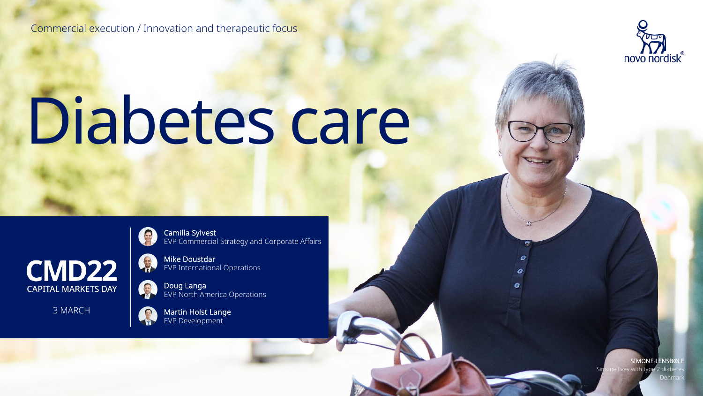Commercial execution / Innovation and therapeutic focus



# Diabetes care



3 MARCH



Camilla Sylvest EVP Commercial Strategy and Corporate Affairs

Mike Doustdar EVP International Operations

Doug Langa EVP North America Operations



Martin Holst Lange EVP Development

> SIMONE LENSBØLI with type  $\,$ Denmark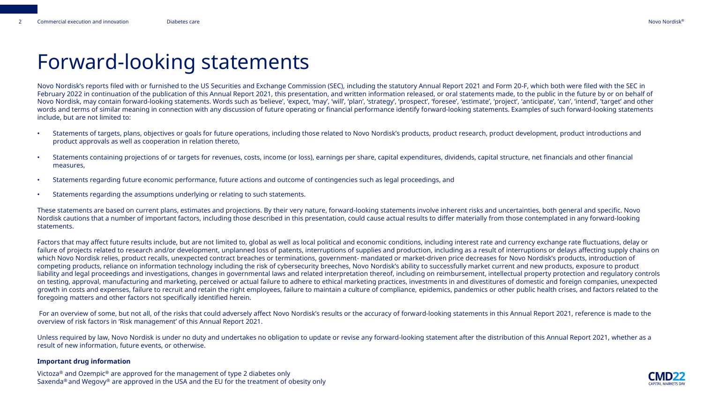### Forward-looking statements

Novo Nordisk's reports filed with or furnished to the US Securities and Exchange Commission (SEC), including the statutory Annual Report 2021 and Form 20-F, which both were filed with the SEC in February 2022 in continuation of the publication of this Annual Report 2021, this presentation, and written information released, or oral statements made, to the public in the future by or on behalf of Novo Nordisk, may contain forward-looking statements. Words such as 'believe', 'expect, 'may', 'will', 'plan', 'strategy', 'prospect', 'foresee', 'estimate', 'project', 'anticipate', 'can', 'intend', 'target' and other words and terms of similar meaning in connection with any discussion of future operating or financial performance identify forward-looking statements. Examples of such forward-looking statements include, but are not limited to:

- Statements of targets, plans, objectives or goals for future operations, including those related to Novo Nordisk's products, product research, product development, product introductions and product approvals as well as cooperation in relation thereto,
- Statements containing projections of or targets for revenues, costs, income (or loss), earnings per share, capital expenditures, dividends, capital structure, net financials and other financial measures,
- Statements regarding future economic performance, future actions and outcome of contingencies such as legal proceedings, and
- Statements regarding the assumptions underlying or relating to such statements.

These statements are based on current plans, estimates and projections. By their very nature, forward-looking statements involve inherent risks and uncertainties, both general and specific. Novo Nordisk cautions that a number of important factors, including those described in this presentation, could cause actual results to differ materially from those contemplated in any forward-looking statements.

Factors that may affect future results include, but are not limited to, global as well as local political and economic conditions, including interest rate and currency exchange rate fluctuations, delay or failure of projects related to research and/or development, unplanned loss of patents, interruptions of supplies and production, including as a result of interruptions or delays affecting supply chains on which Novo Nordisk relies, product recalls, unexpected contract breaches or terminations, government- mandated or market-driven price decreases for Novo Nordisk's products, introduction of competing products, reliance on information technology including the risk of cybersecurity breeches, Novo Nordisk's ability to successfully market current and new products, exposure to product liability and legal proceedings and investigations, changes in governmental laws and related interpretation thereof, including on reimbursement, intellectual property protection and regulatory controls on testing, approval, manufacturing and marketing, perceived or actual failure to adhere to ethical marketing practices, investments in and divestitures of domestic and foreign companies, unexpected growth in costs and expenses, failure to recruit and retain the right employees, failure to maintain a culture of compliance, epidemics, pandemics or other public health crises, and factors related to the foregoing matters and other factors not specifically identified herein.

For an overview of some, but not all, of the risks that could adversely affect Novo Nordisk's results or the accuracy of forward-looking statements in this Annual Report 2021, reference is made to the overview of risk factors in 'Risk management' of this Annual Report 2021.

Unless required by law, Novo Nordisk is under no duty and undertakes no obligation to update or revise any forward-looking statement after the distribution of this Annual Report 2021, whether as a result of new information, future events, or otherwise.

#### **Important drug information**

Victoza® and Ozempic® are approved for the management of type 2 diabetes only Saxenda<sup>®</sup> and Wegovy<sup>®</sup> are approved in the USA and the EU for the treatment of obesity only

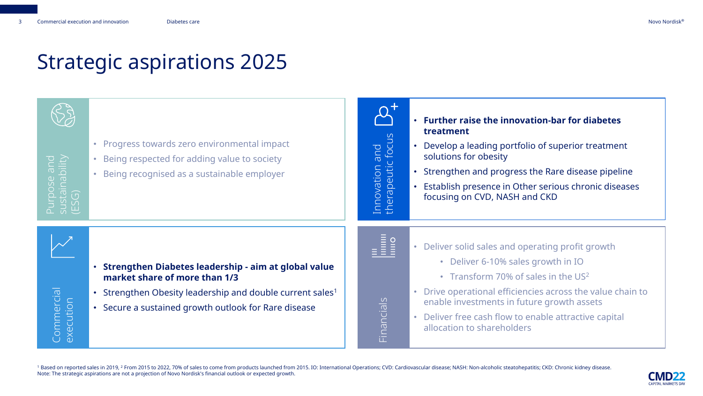### Strategic aspirations 2025



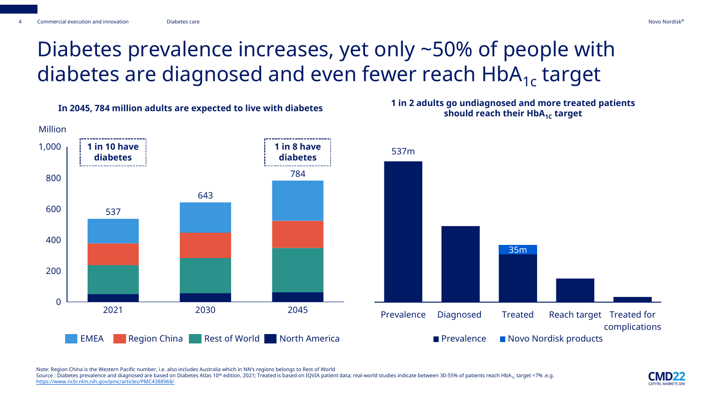# Diabetes prevalence increases, yet only ~50% of people with diabetes are diagnosed and even fewer reach  $HbA_{1c}$  target



Note: Region China is the Western Pacific number, i.e. also includes Australia which in NN's regions belongs to Rest of World

Source : Diabetes prevalence and diagnosed are based on Diabetes Atlas 10<sup>th</sup> edition, 2021; Treated is based on IQVIA patient data; real-world studies indicate between 30-55% of patients reach HbA<sub>1c</sub> target <7% .e.g. <https://www.ncbi.nlm.nih.gov/pmc/articles/PMC4388968/>

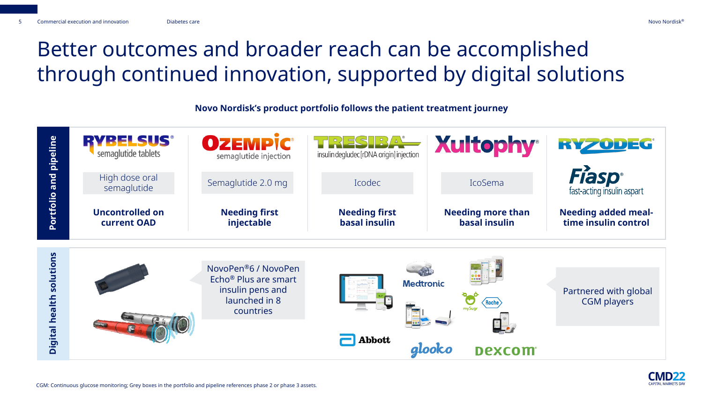# Better outcomes and broader reach can be accomplished through continued innovation, supported by digital solutions

**Novo Nordisk's product portfolio follows the patient treatment journey**



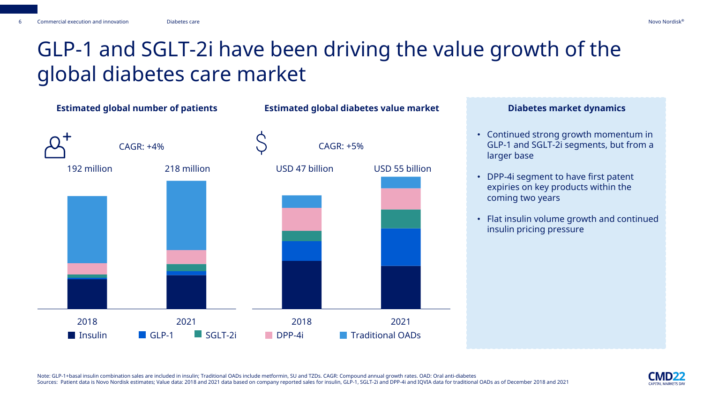### GLP-1 and SGLT-2i have been driving the value growth of the global diabetes care market



- Continued strong growth momentum in GLP-1 and SGLT-2i segments, but from a larger base
- DPP-4i segment to have first patent expiries on key products within the coming two years
- Flat insulin volume growth and continued insulin pricing pressure

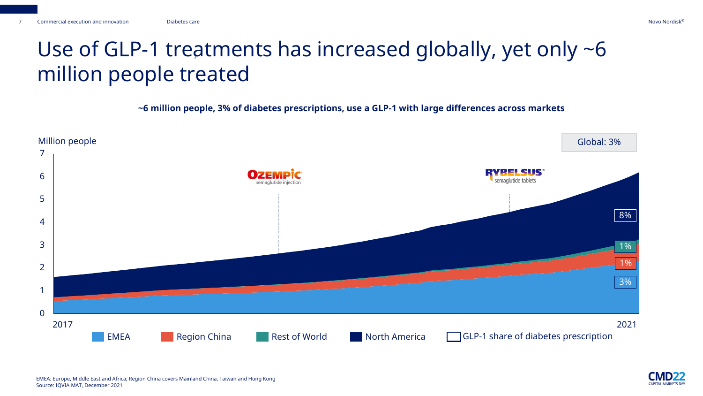### Use of GLP-1 treatments has increased globally, yet only  $\neg 6$ million people treated

**~6 million people, 3% of diabetes prescriptions, use a GLP-1 with large differences across markets**



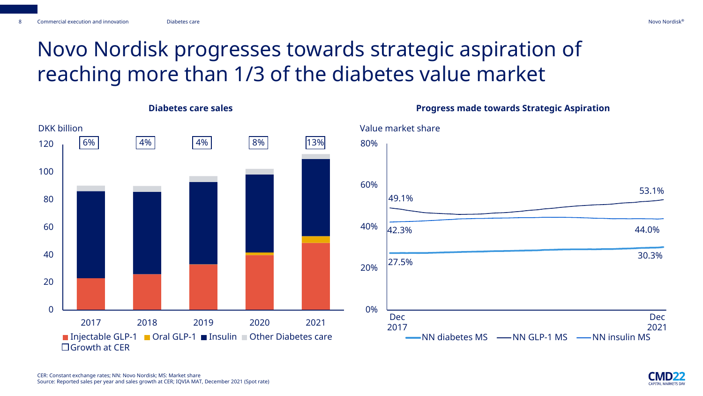**Diabetes care sales**

# Novo Nordisk progresses towards strategic aspiration of reaching more than 1/3 of the diabetes value market



**Progress made towards Strategic Aspiration**

#### CER: Constant exchange rates; NN: Novo Nordisk; MS: Market share Source: Reported sales per year and sales growth at CER; IQVIA MAT, December 2021 (Spot rate)



30.3%

Dec 2021

53.1%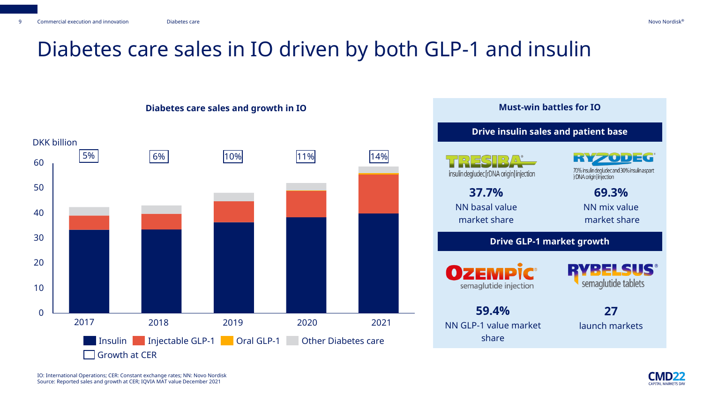### Diabetes care sales in IO driven by both GLP-1 and insulin



#### **Diabetes care sales and growth in IO**



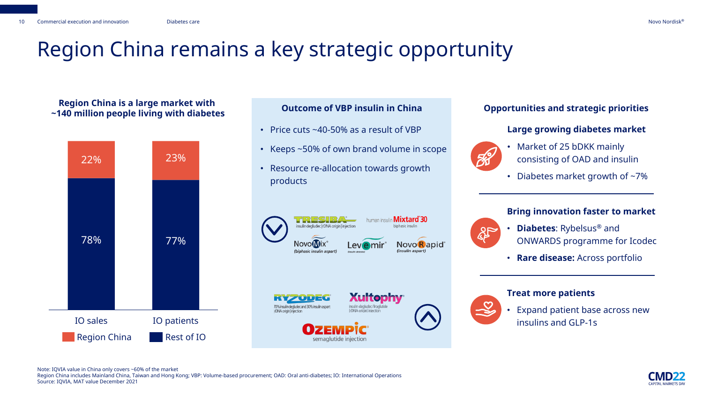### Region China remains a key strategic opportunity

**Region China is a large market with ~140 million people living with diabetes Outcome of VBP insulin in China Opportunities and strategic priorities**



- Price cuts ~40-50% as a result of VBP
- Keeps ~50% of own brand volume in scope
- Resource re-allocation towards growth products







semaglutide injection





#### **Large growing diabetes market**



- Market of 25 bDKK mainly consisting of OAD and insulin
- Diabetes market growth of  $\sim$ 7%

#### **Bring innovation faster to market**



- **Diabetes**: Rybelsus® and ONWARDS programme for Icodec
- **Rare disease:** Across portfolio



#### **Treat more patients**

• Expand patient base across new insulins and GLP-1s



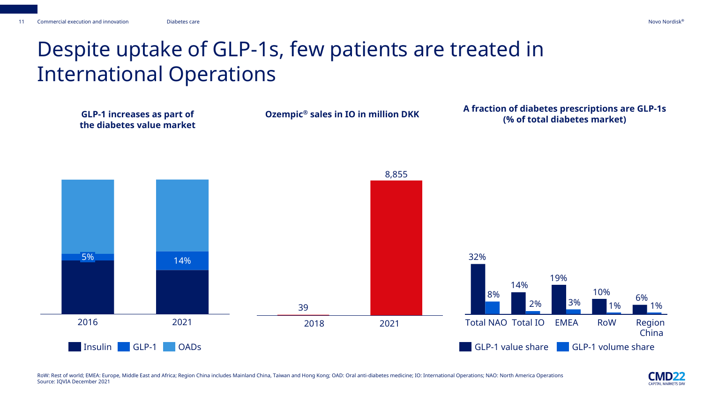# Despite uptake of GLP-1s, few patients are treated in International Operations



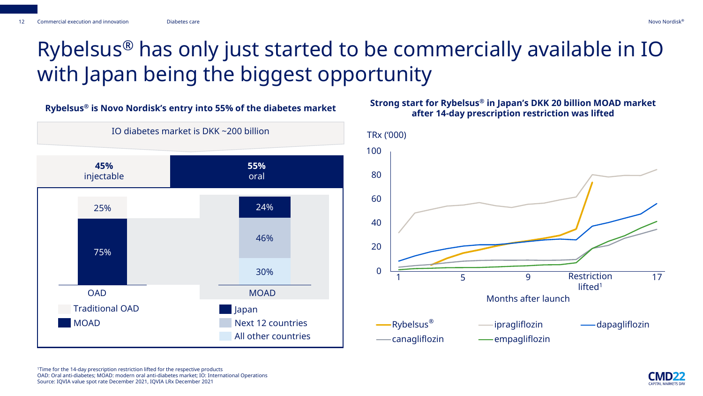# Rybelsus® has only just started to be commercially available in IO with Japan being the biggest opportunity



### **after 14-day prescription restriction was lifted**



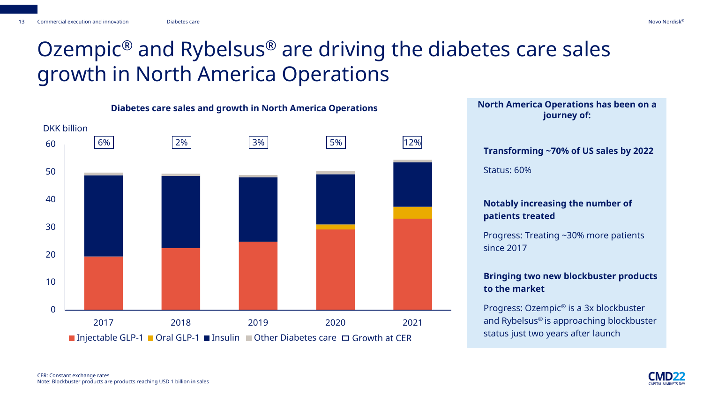### Ozempic® and Rybelsus® are driving the diabetes care sales growth in North America Operations





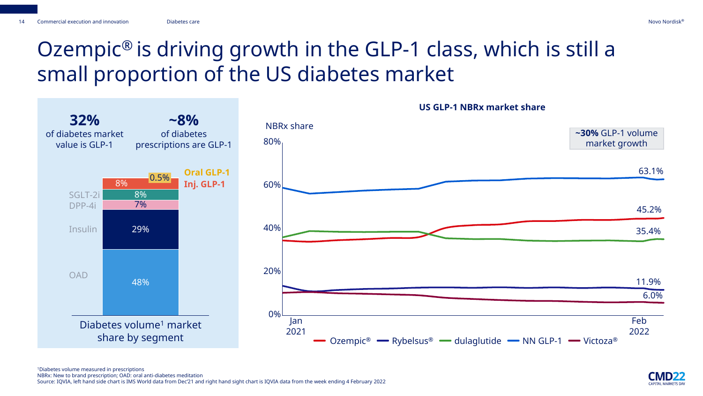### Ozempic® is driving growth in the GLP-1 class, which is still a small proportion of the US diabetes market





**US GLP-1 NBRx market share**

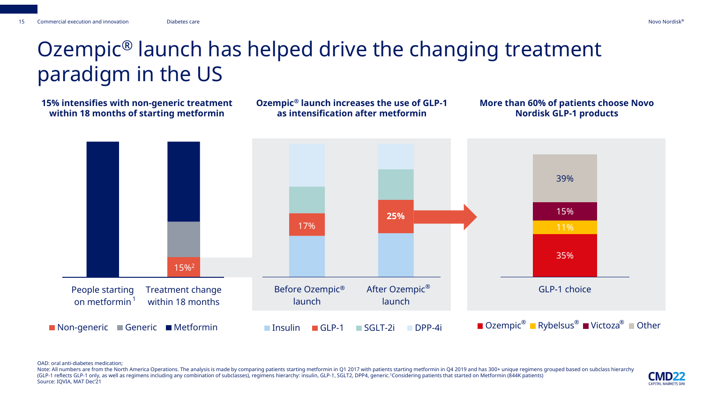### Ozempic® launch has helped drive the changing treatment paradigm in the US

**15% intensifies with non-generic treatment within 18 months of starting metformin**

**Ozempic® launch increases the use of GLP-1 as intensification after metformin**

#### **More than 60% of patients choose Novo Nordisk GLP-1 products**



OAD: oral anti-diabetes medication;

Note: All numbers are from the North America Operations. The analysis is made by comparing patients starting metformin in Q1 2017 with patients starting metformin in Q4 2019 and has 300+ unique regimens grouped based on su (GLP-1 reflects GLP-1 only, as well as regimens including any combination of subclasses), regimens hierarchy: insulin, GLP-1, SGLT2, DPP4, generic.<sup>1</sup>Considering patients that started on Metformin (844K patients) Source: IQVIA, MAT Dec'21

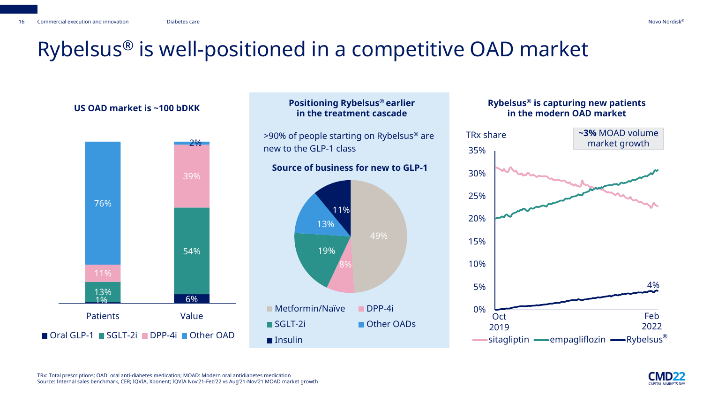### Rybelsus® is well-positioned in a competitive OAD market



### **Positioning Rybelsus® earlier in the treatment cascade**

>90% of people starting on Rybelsus® are new to the GLP-1 class

### **Source of business for new to GLP-1**



#### US OAD market is ~100 bDKK **Rybelsus**® Positioning Rybelsus® earlier **Rybelsus®** is capturing new patients **in the modern OAD market**



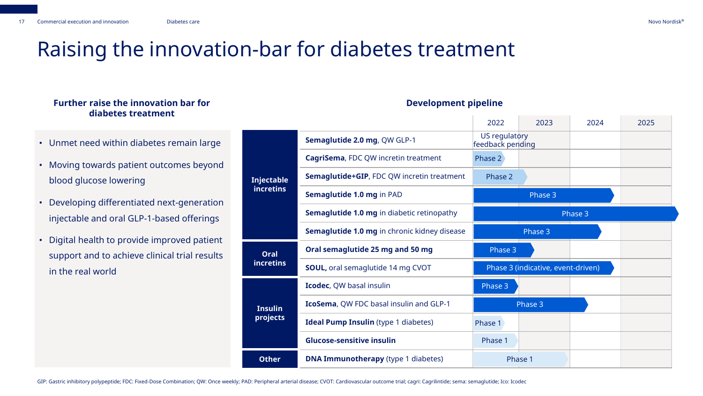### Raising the innovation-bar for diabetes treatment

#### **Further raise the innovation bar for diabetes treatment**

- Unmet need within diabetes remain large
- Moving towards patient outcomes beyond blood glucose lowering
- Developing differentiated next-generation injectable and oral GLP-1-based offerings
- Digital health to provide improved patient support and to achieve clinical trial results in the real world

|                                       |                                                   | 2022                                     | 2023    | 2024    | 2025 |
|---------------------------------------|---------------------------------------------------|------------------------------------------|---------|---------|------|
| <b>Injectable</b><br><b>incretins</b> | Semaglutide 2.0 mg, QW GLP-1                      | <b>US regulatory</b><br>feedback pending |         |         |      |
|                                       | CagriSema, FDC QW incretin treatment              | Phase 2                                  |         |         |      |
|                                       | Semaglutide+GIP, FDC QW incretin treatment        | Phase 2                                  |         |         |      |
|                                       | Semaglutide 1.0 mg in PAD                         |                                          | Phase 3 |         |      |
|                                       | <b>Semaglutide 1.0 mg in diabetic retinopathy</b> |                                          |         | Phase 3 |      |
|                                       | Semaglutide 1.0 mg in chronic kidney disease      |                                          | Phase 3 |         |      |
| <b>Oral</b><br><b>incretins</b>       | Oral semaglutide 25 mg and 50 mg                  | Phase 3                                  |         |         |      |
|                                       | <b>SOUL, oral semaglutide 14 mg CVOT</b>          | Phase 3 (indicative, event-driven)       |         |         |      |
| <b>Insulin</b><br>projects            | Icodec, QW basal insulin                          | Phase 3                                  |         |         |      |
|                                       | IcoSema, QW FDC basal insulin and GLP-1           | Phase 3                                  |         |         |      |
|                                       | <b>Ideal Pump Insulin</b> (type 1 diabetes)       | Phase 1                                  |         |         |      |
|                                       | <b>Glucose-sensitive insulin</b>                  | Phase 1                                  |         |         |      |
| <b>Other</b>                          | <b>DNA Immunotherapy</b> (type 1 diabetes)        |                                          | Phase 1 |         |      |

#### **Development pipeline**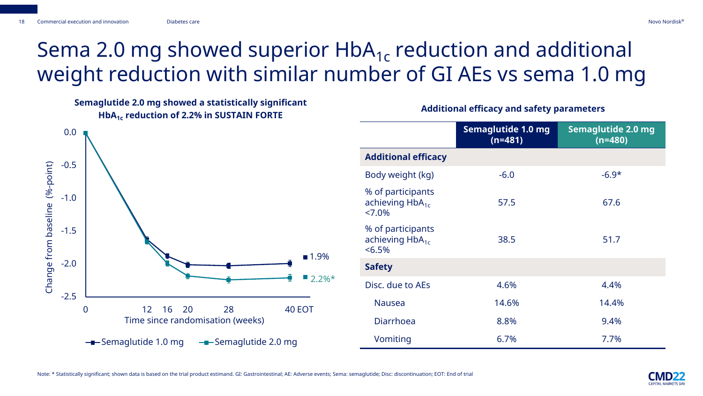# Sema 2.0 mg showed superior  $HbA_{1c}$  reduction and additional weight reduction with similar number of GI AEs vs sema 1.0 mg

**Semaglutide 2.0 mg showed a statistically significant HbA1c reduction of 2.2% in SUSTAIN FORTE Additional efficacy and safety parameters** 



|                                                              | Semaglutide 1.0 mg<br>$(n=481)$ | Semaglutide 2.0 mg<br>$(n=480)$ |
|--------------------------------------------------------------|---------------------------------|---------------------------------|
| <b>Additional efficacy</b>                                   |                                 |                                 |
| Body weight (kg)                                             | $-6.0$                          | $-6.9*$                         |
| % of participants<br>achieving HbA <sub>1c</sub><br>$27.0\%$ | 57.5                            | 67.6                            |
| % of participants<br>achieving $HbA_{1c}$<br>< 6.5%          | 38.5                            | 51.7                            |
| <b>Safety</b>                                                |                                 |                                 |
| Disc. due to AEs                                             | 4.6%                            | 4.4%                            |
| <b>Nausea</b>                                                | 14.6%                           | 14.4%                           |
| <b>Diarrhoea</b>                                             | 8.8%                            | 9.4%                            |
| Vomiting                                                     | 6.7%                            | 7.7%                            |

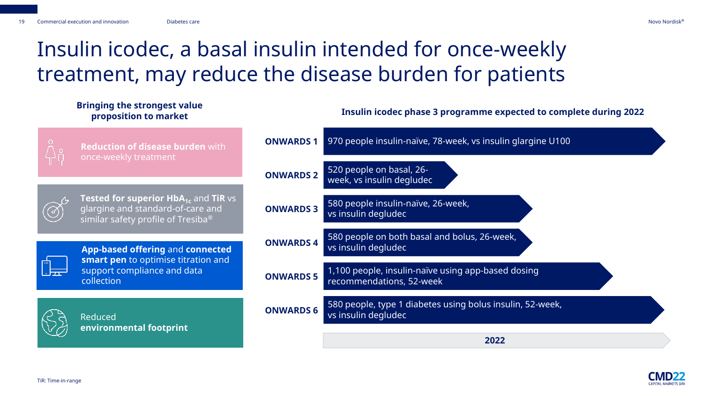### Insulin icodec, a basal insulin intended for once-weekly treatment, may reduce the disease burden for patients

### **Bringing the strongest value proposition to market Insulin icodec phase 3 programme expected to complete during 2022**



**Reduction of disease burden** with once-weekly treatment

**Tested for superior HbA<sub>1c</sub> and TiR vs** glargine and standard-of-care and similar safety profile of Tresiba®



**App-based offering** and **connected smart pen** to optimise titration and support compliance and data collection



Reduced **environmental footprint**

| <b>ONWARDS1</b>  | 970 people insulin-naïve, 78-week, vs insulin glargine U100                      |
|------------------|----------------------------------------------------------------------------------|
| <b>ONWARDS 2</b> | 520 people on basal, 26-<br>week, vs insulin degludec                            |
| <b>ONWARDS 3</b> | 580 people insulin-naïve, 26-week,<br>vs insulin degludec                        |
| <b>ONWARDS4</b>  | 580 people on both basal and bolus, 26-week,<br>vs insulin degludec              |
| <b>ONWARDS 5</b> | 1,100 people, insulin-naïve using app-based dosing<br>recommendations, 52-week   |
| <b>ONWARDS 6</b> | 580 people, type 1 diabetes using bolus insulin, 52-week,<br>vs insulin degludec |
|                  |                                                                                  |

**2022**

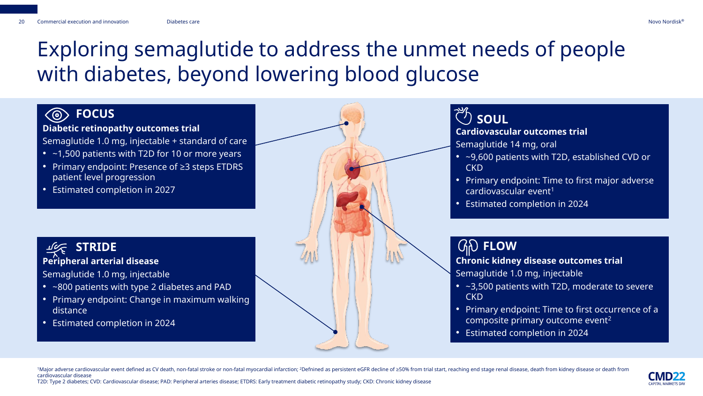### Exploring semaglutide to address the unmet needs of people with diabetes, beyond lowering blood glucose

### **FOCUS**

**Diabetic retinopathy outcomes trial**

Semaglutide 1.0 mg, injectable + standard of care

- ~1,500 patients with T2D for 10 or more years
- Primary endpoint: Presence of ≥3 steps ETDRS patient level progression
- Estimated completion in 2027

### **STRIDE Peripheral arterial disease**

Semaglutide 1.0 mg, injectable

- ~800 patients with type 2 diabetes and PAD
- Primary endpoint: Change in maximum walking distance
- Estimated completion in 2024



### **SOUL**

#### **Cardiovascular outcomes trial**

- Semaglutide 14 mg, oral
- ~9,600 patients with T2D, established CVD or **CKD**
- Primary endpoint: Time to first major adverse cardiovascular event<sup>1</sup>
- Estimated completion in 2024

### **FLOW**

**Chronic kidney disease outcomes trial**  Semaglutide 1.0 mg, injectable

- ~3,500 patients with T2D, moderate to severe CKD
- Primary endpoint: Time to first occurrence of a composite primary outcome event<sup>2</sup>
- Estimated completion in 2024

1Major adverse cardiovascular event defined as CV death, non-fatal stroke or non-fatal myocardial infarction; <sup>2</sup>Defnined as persistent eGFR decline of ≥50% from trial start, reaching end stage renal disease, death from k cardiovascular disease



T2D: Type 2 diabetes; CVD: Cardiovascular disease; PAD: Peripheral arteries disease; ETDRS: Early treatment diabetic retinopathy study; CKD: Chronic kidney disease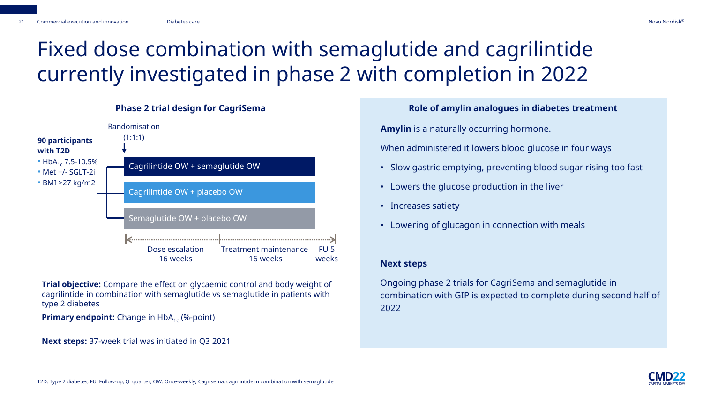### Fixed dose combination with semaglutide and cagrilintide currently investigated in phase 2 with completion in 2022



**Trial objective:** Compare the effect on glycaemic control and body weight of cagrilintide in combination with semaglutide vs semaglutide in patients with type 2 diabetes

**Primary endpoint:** Change in HbA<sub>1c</sub> (%-point)

**Next steps:** 37-week trial was initiated in Q3 2021

**Amylin** is a naturally occurring hormone. When administered it lowers blood glucose in four ways

- Slow gastric emptying, preventing blood sugar rising too fast
- Lowers the glucose production in the liver
- Increases satiety
- Lowering of glucagon in connection with meals

#### **Next steps**

Ongoing phase 2 trials for CagriSema and semaglutide in combination with GIP is expected to complete during second half of 2022